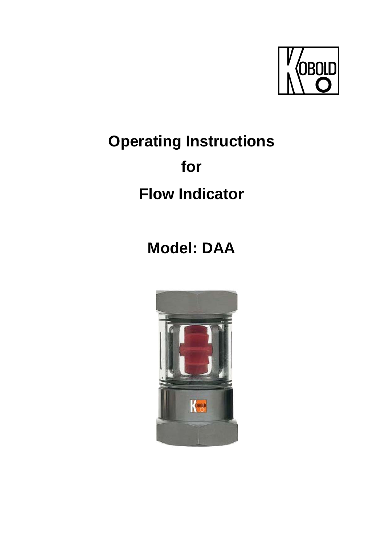

# **Operating Instructions for Flow Indicator**

## **Model: DAA**

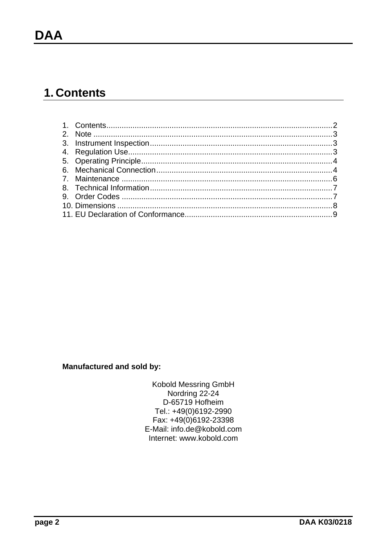## 1. Contents

#### **Manufactured and sold by:**

Kobold Messring GmbH Nordring 22-24 D-65719 Hofheim Tel.: +49(0)6192-2990 Fax: +49(0)6192-23398 E-Mail: info.de@kobold.com Internet: www.kobold.com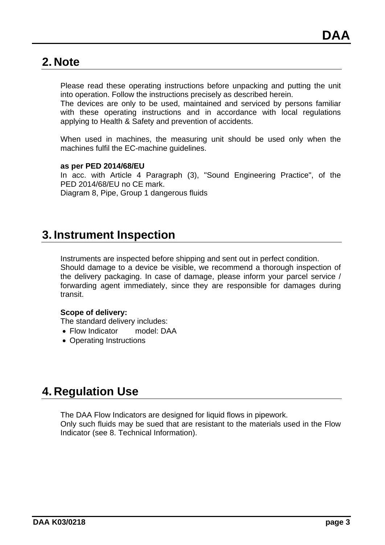### **2. Note**

Please read these operating instructions before unpacking and putting the unit into operation. Follow the instructions precisely as described herein.

The devices are only to be used, maintained and serviced by persons familiar with these operating instructions and in accordance with local regulations applying to Health & Safety and prevention of accidents.

When used in machines, the measuring unit should be used only when the machines fulfil the EC-machine guidelines.

#### **as per PED 2014/68/EU**

In acc. with Article 4 Paragraph (3), "Sound Engineering Practice", of the PED 2014/68/EU no CE mark. Diagram 8, Pipe, Group 1 dangerous fluids

## **3. Instrument Inspection**

Instruments are inspected before shipping and sent out in perfect condition. Should damage to a device be visible, we recommend a thorough inspection of the delivery packaging. In case of damage, please inform your parcel service / forwarding agent immediately, since they are responsible for damages during transit.

#### **Scope of delivery:**

The standard delivery includes:

- Flow Indicator model: DAA
- Operating Instructions

## **4. Regulation Use**

The DAA Flow Indicators are designed for liquid flows in pipework.

Only such fluids may be sued that are resistant to the materials used in the Flow Indicator (see 8. Technical Information).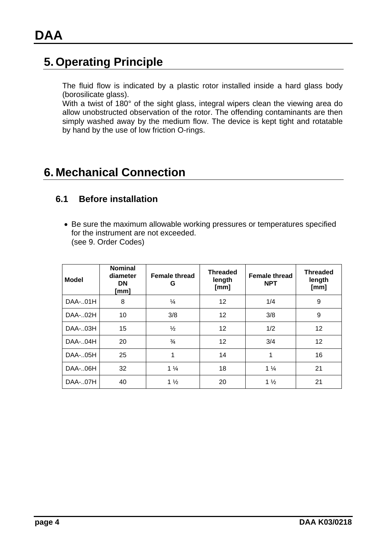## **5. Operating Principle**

The fluid flow is indicated by a plastic rotor installed inside a hard glass body (borosilicate glass).

With a twist of 180° of the sight glass, integral wipers clean the viewing area do allow unobstructed observation of the rotor. The offending contaminants are then simply washed away by the medium flow. The device is kept tight and rotatable by hand by the use of low friction O-rings.

## **6. Mechanical Connection**

#### **6.1 Before installation**

 Be sure the maximum allowable working pressures or temperatures specified for the instrument are not exceeded. (see 9. Order Codes)

| <b>Model</b> | <b>Nominal</b><br>diameter<br><b>DN</b><br>[mm] | <b>Female thread</b><br>G | <b>Threaded</b><br>length<br>[mm] | <b>Female thread</b><br><b>NPT</b> | <b>Threaded</b><br>length<br>[mm] |  |
|--------------|-------------------------------------------------|---------------------------|-----------------------------------|------------------------------------|-----------------------------------|--|
| DAA-01H      | 8                                               | $\frac{1}{4}$             | 12                                | 1/4                                | 9                                 |  |
| DAA-02H      | 10                                              | 3/8                       | 12                                | 3/8                                | 9                                 |  |
| DAA-03H      | 15                                              | $\frac{1}{2}$             | 12                                | 1/2                                | 12                                |  |
| DAA-04H      | 20                                              | $\frac{3}{4}$             | 12                                | 3/4                                | 12                                |  |
| DAA-05H      | 25                                              | 1                         | 14                                | 1                                  | 16                                |  |
| DAA-06H      | 32                                              | $1\frac{1}{4}$            | 18                                | $1\frac{1}{4}$                     | 21                                |  |
| DAA-07H      | 40                                              | $1\frac{1}{2}$            | 20                                | $1\frac{1}{2}$                     | 21                                |  |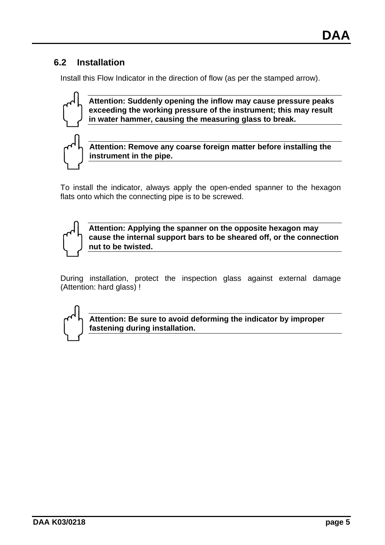#### **6.2 Installation**

Install this Flow Indicator in the direction of flow (as per the stamped arrow).



**Attention: Suddenly opening the inflow may cause pressure peaks exceeding the working pressure of the instrument; this may result in water hammer, causing the measuring glass to break.** 

**Attention: Remove any coarse foreign matter before installing the instrument in the pipe.** 

To install the indicator, always apply the open-ended spanner to the hexagon flats onto which the connecting pipe is to be screwed.



**Attention: Applying the spanner on the opposite hexagon may cause the internal support bars to be sheared off, or the connection nut to be twisted.** 

During installation, protect the inspection glass against external damage (Attention: hard glass) !



**Attention: Be sure to avoid deforming the indicator by improper fastening during installation.**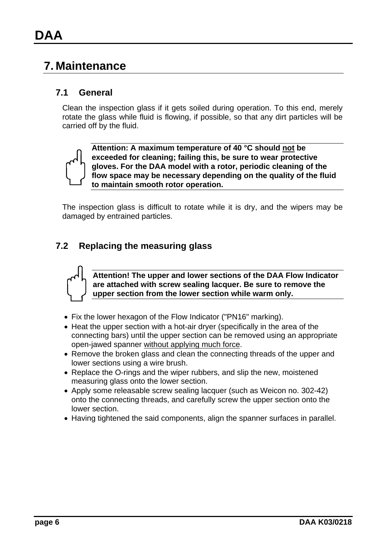## **7. Maintenance**

#### **7.1 General**

Clean the inspection glass if it gets soiled during operation. To this end, merely rotate the glass while fluid is flowing, if possible, so that any dirt particles will be carried off by the fluid.



**Attention: A maximum temperature of 40 °C should not be exceeded for cleaning; failing this, be sure to wear protective gloves. For the DAA model with a rotor, periodic cleaning of the flow space may be necessary depending on the quality of the fluid to maintain smooth rotor operation.** 

The inspection glass is difficult to rotate while it is dry, and the wipers may be damaged by entrained particles.

#### **7.2 Replacing the measuring glass**



**Attention! The upper and lower sections of the DAA Flow Indicator are attached with screw sealing lacquer. Be sure to remove the upper section from the lower section while warm only.** 

- Fix the lower hexagon of the Flow Indicator ("PN16" marking).
- Heat the upper section with a hot-air dryer (specifically in the area of the connecting bars) until the upper section can be removed using an appropriate open-jawed spanner without applying much force.
- Remove the broken glass and clean the connecting threads of the upper and lower sections using a wire brush.
- Replace the O-rings and the wiper rubbers, and slip the new, moistened measuring glass onto the lower section.
- Apply some releasable screw sealing lacquer (such as Weicon no. 302-42) onto the connecting threads, and carefully screw the upper section onto the lower section.
- Having tightened the said components, align the spanner surfaces in parallel.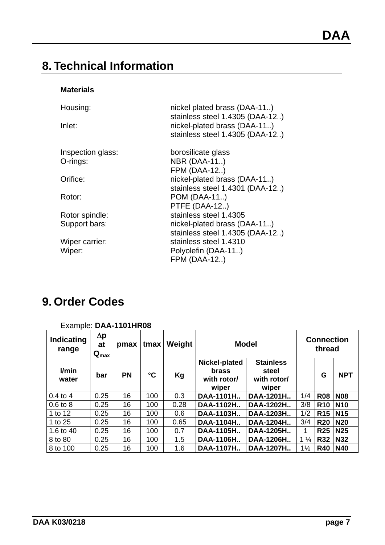## **8. Technical Information**

#### **Materials**

| Housing:<br>Inlet: | nickel plated brass (DAA-11)<br>stainless steel 1.4305 (DAA-12)<br>nickel-plated brass (DAA-11)<br>stainless steel 1.4305 (DAA-12) |  |  |  |  |
|--------------------|------------------------------------------------------------------------------------------------------------------------------------|--|--|--|--|
| Inspection glass:  | borosilicate glass                                                                                                                 |  |  |  |  |
| O-rings:           | <b>NBR (DAA-11)</b>                                                                                                                |  |  |  |  |
|                    | <b>FPM (DAA-12)</b>                                                                                                                |  |  |  |  |
| Orifice:           | nickel-plated brass (DAA-11)                                                                                                       |  |  |  |  |
|                    | stainless steel 1.4301 (DAA-12)                                                                                                    |  |  |  |  |
| Rotor:             | POM (DAA-11)                                                                                                                       |  |  |  |  |
|                    | <b>PTFE (DAA-12)</b>                                                                                                               |  |  |  |  |
| Rotor spindle:     | stainless steel 1.4305                                                                                                             |  |  |  |  |
| Support bars:      | nickel-plated brass (DAA-11)                                                                                                       |  |  |  |  |
|                    | stainless steel 1.4305 (DAA-12)                                                                                                    |  |  |  |  |
| Wiper carrier:     | stainless steel 1.4310                                                                                                             |  |  |  |  |
| Wiper:             | Polyolefin (DAA-11)                                                                                                                |  |  |  |  |
|                    | <b>FPM (DAA-12)</b>                                                                                                                |  |  |  |  |

## **9. Order Codes**

| <b>Indicating</b><br>range | $\Delta p$<br>at<br>$\mathbf{Q}_{\textsf{max}}$ | pmax      | tmax            | Weight | <b>Model</b>                                                                                               |            |                | <b>Connection</b><br>thread |            |
|----------------------------|-------------------------------------------------|-----------|-----------------|--------|------------------------------------------------------------------------------------------------------------|------------|----------------|-----------------------------|------------|
| l/min<br>water             | bar                                             | <b>PN</b> | $\rm ^{\circ}C$ | Kg     | Nickel-plated<br><b>Stainless</b><br><b>brass</b><br>steel<br>with rotor/<br>with rotor/<br>wiper<br>wiper |            |                | G                           | <b>NPT</b> |
| $0.4$ to $4$               | 0.25                                            | 16        | 100             | 0.3    | DAA-1101H                                                                                                  | DAA-1201H. | 1/4            | <b>R08</b>                  | <b>N08</b> |
| $0.6$ to $8$               | 0.25                                            | 16        | 100             | 0.28   | DAA-1102H                                                                                                  | DAA-1202H  | 3/8            | <b>R10</b>                  | <b>N10</b> |
| 1 to 12                    | 0.25                                            | 16        | 100             | 0.6    | DAA-1103H                                                                                                  | DAA-1203H  | 1/2            | <b>R15</b>                  | <b>N15</b> |
| 1 to 25                    | 0.25                                            | 16        | 100             | 0.65   | DAA-1104H                                                                                                  | DAA-1204H  | 3/4            | <b>R20</b>                  | <b>N20</b> |
| 1.6 to 40                  | 0.25                                            | 16        | 100             | 0.7    | DAA-1105H                                                                                                  | DAA-1205H  | 1              | <b>R25</b>                  | <b>N25</b> |
| 8 to 80                    | 0.25                                            | 16        | 100             | 1.5    | DAA-1106H                                                                                                  | DAA-1206H  | $1\frac{1}{4}$ | <b>R32</b>                  | <b>N32</b> |
| 8 to 100                   | 0.25                                            | 16        | 100             | 1.6    | DAA-1107H                                                                                                  | DAA-1207H  | $1\frac{1}{2}$ | <b>R40</b>                  | N40        |

#### Example: **DAA-1101HR08**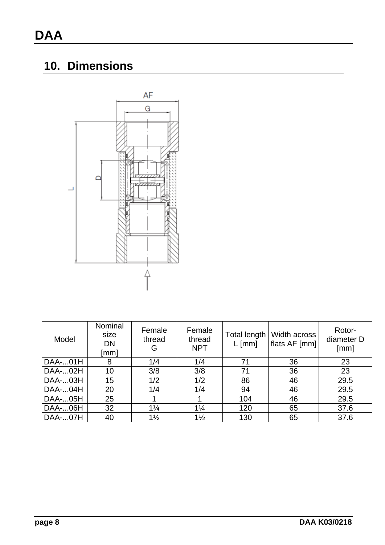## **10. Dimensions**



| Model   | Nominal<br>size<br><b>DN</b><br>[mm] | Female<br>thread<br>G | Female<br>thread<br><b>NPT</b> | Total length<br>$L$ [mm] | Width across<br>flats AF [mm] | Rotor-<br>diameter D<br>[mm] |
|---------|--------------------------------------|-----------------------|--------------------------------|--------------------------|-------------------------------|------------------------------|
| DAA-01H | 8                                    | 1/4                   | 1/4                            | 71                       | 36                            | 23                           |
| DAA-02H | 10                                   | 3/8                   | 3/8                            | 71                       | 36                            | 23                           |
| DAA-03H | 15                                   | 1/2                   | 1/2                            | 86                       | 46                            | 29.5                         |
| DAA-04H | 20                                   | 1/4                   | 1/4                            | 94                       | 46                            | 29.5                         |
| DAA-05H | 25                                   |                       |                                | 104                      | 46                            | 29.5                         |
| DAA-06H | 32                                   | $1\frac{1}{4}$        | $1\frac{1}{4}$                 | 120                      | 65                            | 37.6                         |
| DAA-07H | 40                                   | $1\frac{1}{2}$        | $1\frac{1}{2}$                 | 130                      | 65                            | 37.6                         |